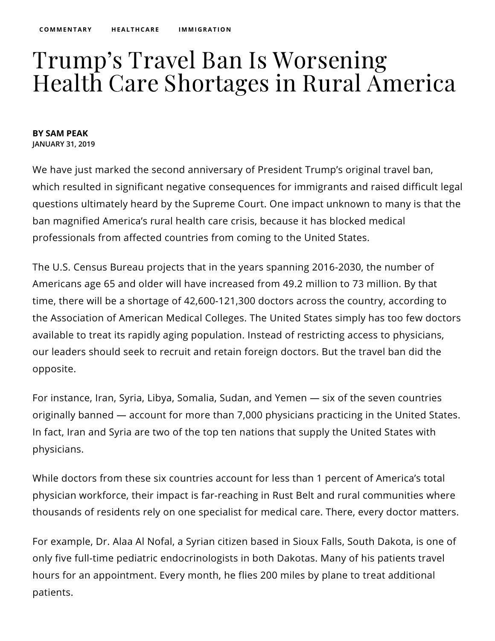## Trump's Travel Ban Is Worsening Health Care Shortages in Rural America

## **BY SAM PEAK JANUARY 31, 2019**

We have just marked the second anniversary of President Trump's original travel ban, which resulted in significant negative consequences for immigrants and raised difficult [legal](https://niskanencenter.org/blog/the-supreme-court-got-the-travel-ban-both-right-and-wrong/) questions ultimately heard by the Supreme Court. One impact unknown to many is that the ban magnified America's rural health care crisis, because it has blocked medical professionals from affected countries from coming to the United States.

The U.S. Census Bureau [projects](https://docs.google.com/spreadsheets/d/1cjNu1N8aQWQrdPQ5WBj_3uDHwaotcgYjNUqa35qwsBI/edit#gid=1702296689) that in the years spanning 2016-2030, the number of Americans age 65 and older will have increased from 49.2 million to 73 million. By that time, there will be a [shortage](https://news.aamc.org/for-the-media/article/gme-funding-doctor-shortage/) of 42,600-121,300 doctors across the country, according to the Association of American Medical Colleges. The United States simply has too few doctors available to treat its rapidly aging population. Instead of restricting access to physicians, our leaders should seek to recruit and retain foreign doctors. But the travel ban did the opposite.

For instance, Iran, Syria, Libya, Somalia, Sudan, and Yemen — six of the seven countries originally banned — account for more than 7,000 [physicians](https://www.healthaffairs.org/do/10.1377/hblog20170306.059026/full/) practicing in the United States. In fact, Iran and Syria are two of the top ten nations that [supply](https://www.natlawreview.com/article/healthcare-implications-supreme-court-s-decision-president-s-travel-ban) the United States with physicians.

While doctors from these six countries account for less than 1 percent of America's total physician workforce, their impact is far-reaching in Rust Belt and rural communities where thousands of residents [rely](https://money.cnn.com/2018/06/08/news/economy/immigrant-doctors-green-card-backlog/index.html) on one specialist for medical care. There, every doctor matters.

For example, Dr. Alaa Al Nofal, a Syrian citizen based in Sioux Falls, South Dakota, is one of only five full-time pediatric [endocrinologists](https://money.cnn.com/2017/02/10/news/economy/visa-ban-rural-doctor-shortage/index.html) in both Dakotas. Many of his patients travel hours for an appointment. Every month, he flies 200 miles by plane to treat additional patients.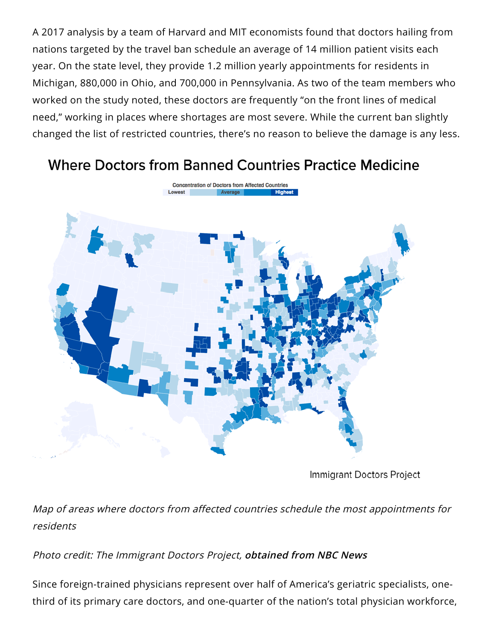A 2017 [analysis](https://immigrantdoctors.org/methodology/) by a team of Harvard and MIT economists found that doctors hailing from nations targeted by the travel ban schedule an average of 14 million patient visits each year. On the state level, they provide 1.2 million yearly appointments for residents in Michigan, 880,000 in Ohio, and 700,000 in Pennsylvania. As two of the team members who worked on the study [noted,](https://www.healthaffairs.org/do/10.1377/hblog20170306.059026/full/) these doctors are frequently "on the front lines of medical need," working in places where shortages are most severe. While the current ban slightly changed the list of restricted [countries,](https://www.nytimes.com/2018/07/01/world/americas/travel-ban-trump-how-it-works.html) there's no reason to believe the damage is any less.

## **Where Doctors from Banned Countries Practice Medicine**



Immigrant Doctors Project

[Map](https://immigrantdoctors.org/) of areas where doctors from affected countries schedule the most appointments for residents

## Photo credit: The Immigrant Doctors Project, **[obtained](https://www.nbcnews.com/health/health-care/entry-ban-could-cause-doctor-shortages-trump-territory-new-research-n729806) from NBC News**

Since foreign-trained physicians [represent](https://niskanencenter.org/blog/foreign-doctors-will-heal-america-if-congress-lets-them/) over half of America's geriatric specialists, onethird of its primary care doctors, and one-quarter of the nation's total physician workforce,